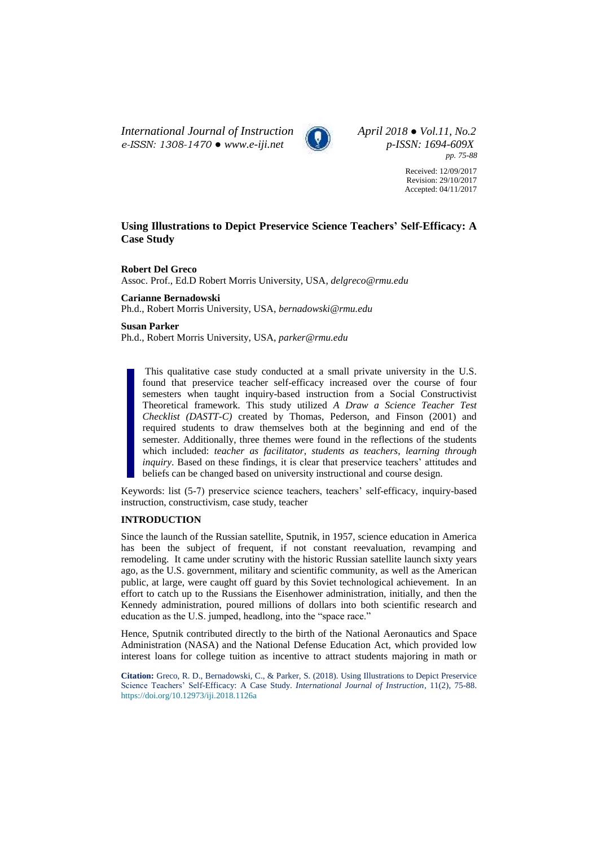*International Journal of Instruction April 2018 ● Vol.11, No.2 e-ISSN: 1308-1470 ● [www.e-iji.net](http://www.e-iji.net/) p-ISSN: 1694-609X*



*pp. 75-88*

Received: 12/09/2017 Revision: 29/10/2017 Accepted: 04/11/2017

# **Using Illustrations to Depict Preservice Science Teachers' Self-Efficacy: A Case Study**

**Robert Del Greco**

Assoc. Prof., Ed.D Robert Morris University, USA, *delgreco@rmu.edu*

## **Carianne Bernadowski**

Ph.d., Robert Morris University, USA, *bernadowski@rmu.edu*

## **Susan Parker**

Ph.d., Robert Morris University, USA, *parker@rmu.edu*

This qualitative case study conducted at a small private university in the U.S. found that preservice teacher self-efficacy increased over the course of four semesters when taught inquiry-based instruction from a Social Constructivist Theoretical framework. This study utilized *A Draw a Science Teacher Test Checklist (DASTT-C)* created by Thomas, Pederson, and Finson (2001) and required students to draw themselves both at the beginning and end of the semester. Additionally, three themes were found in the reflections of the students which included: *teacher as facilitator*, *students as teachers*, *learning through inquiry*. Based on these findings, it is clear that preservice teachers' attitudes and beliefs can be changed based on university instructional and course design.

Keywords: list (5-7) preservice science teachers, teachers' self-efficacy, inquiry-based instruction, constructivism, case study, teacher

# **INTRODUCTION**

Since the launch of the Russian satellite, Sputnik, in 1957, science education in America has been the subject of frequent, if not constant reevaluation, revamping and remodeling. It came under scrutiny with the historic Russian satellite launch sixty years ago, as the U.S. government, military and scientific community, as well as the American public, at large, were caught off guard by this Soviet technological achievement. In an effort to catch up to the Russians the Eisenhower administration, initially, and then the Kennedy administration, poured millions of dollars into both scientific research and education as the U.S. jumped, headlong, into the "space race."

Hence, Sputnik contributed directly to the birth of the National Aeronautics and Space Administration (NASA) and the National Defense Education Act, which provided low interest loans for college tuition as incentive to attract students majoring in math or

**Citation:** Greco, R. D., Bernadowski, C., & Parker, S. (2018). Using Illustrations to Depict Preservice Science Teachers' Self-Efficacy: A Case Study. *International Journal of Instruction*, 11(2), 75-88. <https://doi.org/10.12973/iji.2018.1126a>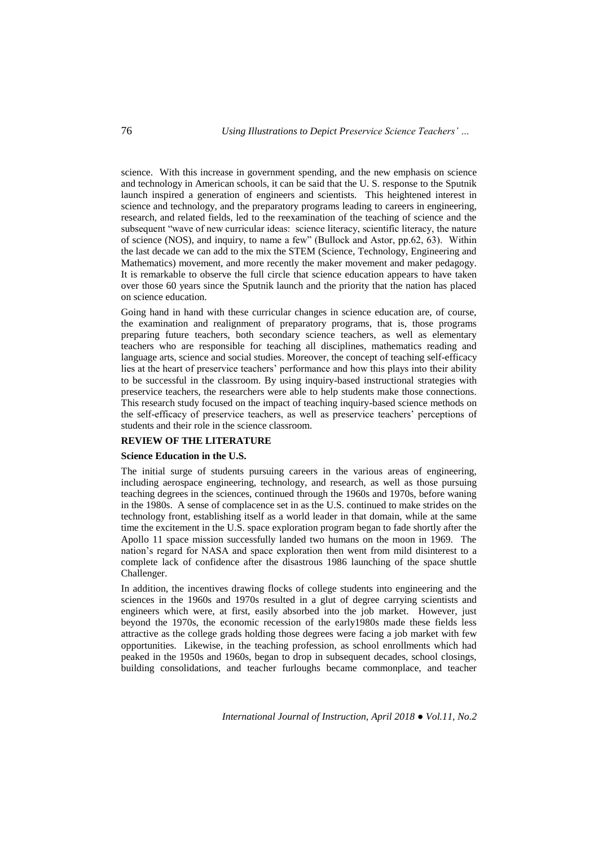science. With this increase in government spending, and the new emphasis on science and technology in American schools, it can be said that the U. S. response to the Sputnik launch inspired a generation of engineers and scientists. This heightened interest in science and technology, and the preparatory programs leading to careers in engineering, research, and related fields, led to the reexamination of the teaching of science and the subsequent "wave of new curricular ideas: science literacy, scientific literacy, the nature of science (NOS), and inquiry, to name a few" (Bullock and Astor, pp.62, 63). Within the last decade we can add to the mix the STEM (Science, Technology, Engineering and Mathematics) movement, and more recently the maker movement and maker pedagogy. It is remarkable to observe the full circle that science education appears to have taken over those 60 years since the Sputnik launch and the priority that the nation has placed on science education.

Going hand in hand with these curricular changes in science education are, of course, the examination and realignment of preparatory programs, that is, those programs preparing future teachers, both secondary science teachers, as well as elementary teachers who are responsible for teaching all disciplines, mathematics reading and language arts, science and social studies. Moreover, the concept of teaching self-efficacy lies at the heart of preservice teachers' performance and how this plays into their ability to be successful in the classroom. By using inquiry-based instructional strategies with preservice teachers, the researchers were able to help students make those connections. This research study focused on the impact of teaching inquiry-based science methods on the self-efficacy of preservice teachers, as well as preservice teachers' perceptions of students and their role in the science classroom.

## **REVIEW OF THE LITERATURE**

#### **Science Education in the U.S.**

The initial surge of students pursuing careers in the various areas of engineering, including aerospace engineering, technology, and research, as well as those pursuing teaching degrees in the sciences, continued through the 1960s and 1970s, before waning in the 1980s. A sense of complacence set in as the U.S. continued to make strides on the technology front, establishing itself as a world leader in that domain, while at the same time the excitement in the U.S. space exploration program began to fade shortly after the Apollo 11 space mission successfully landed two humans on the moon in 1969. The nation's regard for NASA and space exploration then went from mild disinterest to a complete lack of confidence after the disastrous 1986 launching of the space shuttle Challenger.

In addition, the incentives drawing flocks of college students into engineering and the sciences in the 1960s and 1970s resulted in a glut of degree carrying scientists and engineers which were, at first, easily absorbed into the job market. However, just beyond the 1970s, the economic recession of the early1980s made these fields less attractive as the college grads holding those degrees were facing a job market with few opportunities. Likewise, in the teaching profession, as school enrollments which had peaked in the 1950s and 1960s, began to drop in subsequent decades, school closings, building consolidations, and teacher furloughs became commonplace, and teacher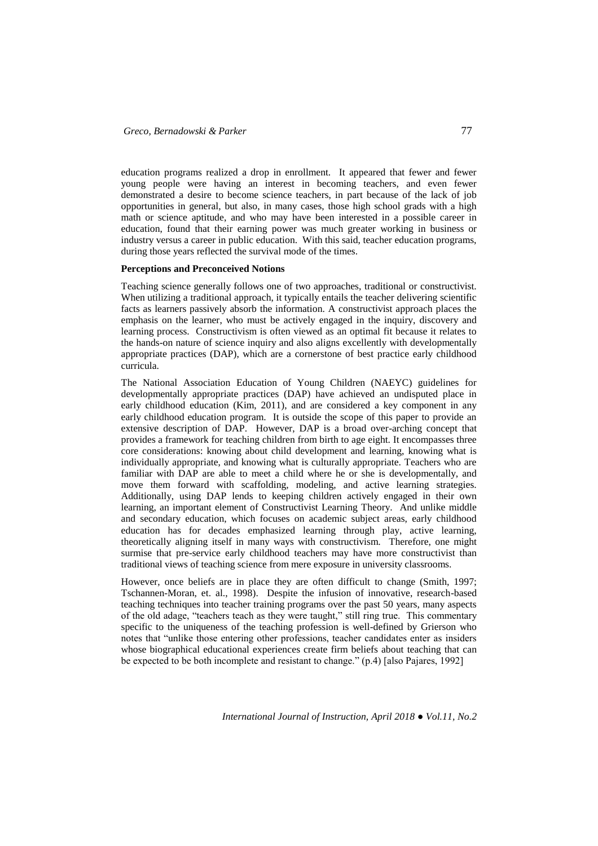education programs realized a drop in enrollment. It appeared that fewer and fewer young people were having an interest in becoming teachers, and even fewer demonstrated a desire to become science teachers, in part because of the lack of job opportunities in general, but also, in many cases, those high school grads with a high math or science aptitude, and who may have been interested in a possible career in education, found that their earning power was much greater working in business or industry versus a career in public education. With this said, teacher education programs, during those years reflected the survival mode of the times.

#### **Perceptions and Preconceived Notions**

Teaching science generally follows one of two approaches, traditional or constructivist. When utilizing a traditional approach, it typically entails the teacher delivering scientific facts as learners passively absorb the information. A constructivist approach places the emphasis on the learner, who must be actively engaged in the inquiry, discovery and learning process. Constructivism is often viewed as an optimal fit because it relates to the hands-on nature of science inquiry and also aligns excellently with developmentally appropriate practices (DAP), which are a cornerstone of best practice early childhood curricula.

The National Association Education of Young Children (NAEYC) guidelines for developmentally appropriate practices (DAP) have achieved an undisputed place in early childhood education (Kim, 2011), and are considered a key component in any early childhood education program. It is outside the scope of this paper to provide an extensive description of DAP. However, DAP is a broad over-arching concept that provides a framework for teaching children from birth to age eight. It encompasses three core considerations: knowing about child development and learning, knowing what is individually appropriate, and knowing what is culturally appropriate. Teachers who are familiar with DAP are able to meet a child where he or she is developmentally, and move them forward with scaffolding, modeling, and active learning strategies. Additionally, using DAP lends to keeping children actively engaged in their own learning, an important element of Constructivist Learning Theory. And unlike middle and secondary education, which focuses on academic subject areas, early childhood education has for decades emphasized learning through play, active learning, theoretically aligning itself in many ways with constructivism. Therefore, one might surmise that pre-service early childhood teachers may have more constructivist than traditional views of teaching science from mere exposure in university classrooms.

However, once beliefs are in place they are often difficult to change (Smith, 1997; Tschannen-Moran, et. al., 1998). Despite the infusion of innovative, research-based teaching techniques into teacher training programs over the past 50 years, many aspects of the old adage, "teachers teach as they were taught," still ring true. This commentary specific to the uniqueness of the teaching profession is well-defined by Grierson who notes that "unlike those entering other professions, teacher candidates enter as insiders whose biographical educational experiences create firm beliefs about teaching that can be expected to be both incomplete and resistant to change." (p.4) [also Pajares, 1992]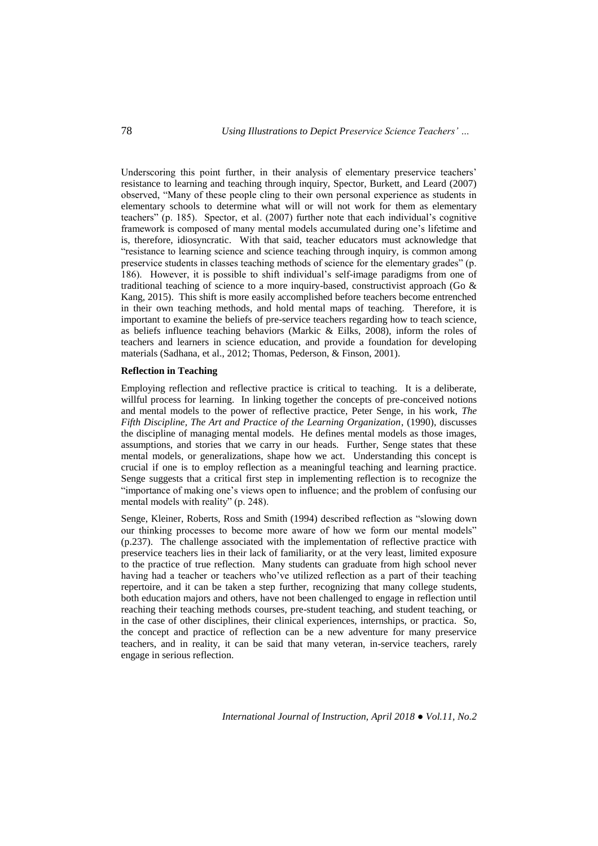Underscoring this point further, in their analysis of elementary preservice teachers' resistance to learning and teaching through inquiry, Spector, Burkett, and Leard (2007) observed, "Many of these people cling to their own personal experience as students in elementary schools to determine what will or will not work for them as elementary teachers" (p. 185). Spector, et al. (2007) further note that each individual's cognitive framework is composed of many mental models accumulated during one's lifetime and is, therefore, idiosyncratic. With that said, teacher educators must acknowledge that "resistance to learning science and science teaching through inquiry, is common among preservice students in classes teaching methods of science for the elementary grades" (p. 186). However, it is possible to shift individual's self-image paradigms from one of traditional teaching of science to a more inquiry-based, constructivist approach (Go & Kang, 2015). This shift is more easily accomplished before teachers become entrenched in their own teaching methods, and hold mental maps of teaching. Therefore, it is important to examine the beliefs of pre-service teachers regarding how to teach science, as beliefs influence teaching behaviors (Markic & Eilks, 2008), inform the roles of teachers and learners in science education, and provide a foundation for developing materials (Sadhana, et al., 2012; Thomas, Pederson, & Finson, 2001).

### **Reflection in Teaching**

Employing reflection and reflective practice is critical to teaching. It is a deliberate, willful process for learning. In linking together the concepts of pre-conceived notions and mental models to the power of reflective practice, Peter Senge, in his work, *The Fifth Discipline, The Art and Practice of the Learning Organization*, (1990), discusses the discipline of managing mental models. He defines mental models as those images, assumptions, and stories that we carry in our heads. Further, Senge states that these mental models, or generalizations, shape how we act. Understanding this concept is crucial if one is to employ reflection as a meaningful teaching and learning practice. Senge suggests that a critical first step in implementing reflection is to recognize the "importance of making one's views open to influence; and the problem of confusing our mental models with reality" (p. 248).

Senge, Kleiner, Roberts, Ross and Smith (1994) described reflection as "slowing down our thinking processes to become more aware of how we form our mental models" (p.237). The challenge associated with the implementation of reflective practice with preservice teachers lies in their lack of familiarity, or at the very least, limited exposure to the practice of true reflection. Many students can graduate from high school never having had a teacher or teachers who've utilized reflection as a part of their teaching repertoire, and it can be taken a step further, recognizing that many college students, both education majors and others, have not been challenged to engage in reflection until reaching their teaching methods courses, pre-student teaching, and student teaching, or in the case of other disciplines, their clinical experiences, internships, or practica. So, the concept and practice of reflection can be a new adventure for many preservice teachers, and in reality, it can be said that many veteran, in-service teachers, rarely engage in serious reflection.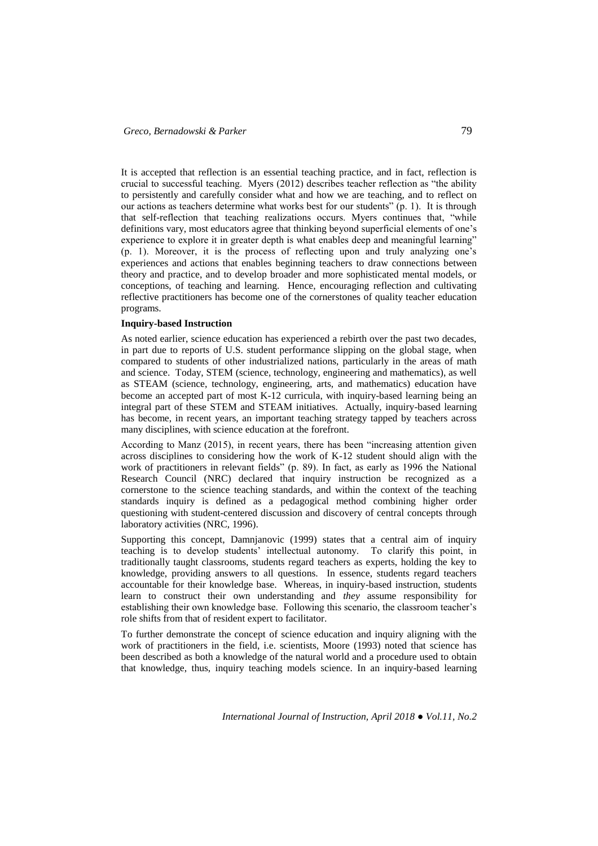It is accepted that reflection is an essential teaching practice, and in fact, reflection is crucial to successful teaching. Myers (2012) describes teacher reflection as "the ability to persistently and carefully consider what and how we are teaching, and to reflect on our actions as teachers determine what works best for our students" (p. 1). It is through that self-reflection that teaching realizations occurs. Myers continues that, "while definitions vary, most educators agree that thinking beyond superficial elements of one's experience to explore it in greater depth is what enables deep and meaningful learning" (p. 1). Moreover, it is the process of reflecting upon and truly analyzing one's experiences and actions that enables beginning teachers to draw connections between theory and practice, and to develop broader and more sophisticated mental models, or conceptions, of teaching and learning. Hence, encouraging reflection and cultivating reflective practitioners has become one of the cornerstones of quality teacher education programs.

## **Inquiry-based Instruction**

As noted earlier, science education has experienced a rebirth over the past two decades, in part due to reports of U.S. student performance slipping on the global stage, when compared to students of other industrialized nations, particularly in the areas of math and science. Today, STEM (science, technology, engineering and mathematics), as well as STEAM (science, technology, engineering, arts, and mathematics) education have become an accepted part of most K-12 curricula, with inquiry-based learning being an integral part of these STEM and STEAM initiatives. Actually, inquiry-based learning has become, in recent years, an important teaching strategy tapped by teachers across many disciplines, with science education at the forefront.

According to Manz (2015), in recent years, there has been "increasing attention given across disciplines to considering how the work of K-12 student should align with the work of practitioners in relevant fields" (p. 89). In fact, as early as 1996 the National Research Council (NRC) declared that inquiry instruction be recognized as a cornerstone to the science teaching standards, and within the context of the teaching standards inquiry is defined as a pedagogical method combining higher order questioning with student-centered discussion and discovery of central concepts through laboratory activities (NRC, 1996).

Supporting this concept, Damnjanovic (1999) states that a central aim of inquiry teaching is to develop students' intellectual autonomy. To clarify this point, in traditionally taught classrooms, students regard teachers as experts, holding the key to knowledge, providing answers to all questions. In essence, students regard teachers accountable for their knowledge base. Whereas, in inquiry-based instruction, students learn to construct their own understanding and *they* assume responsibility for establishing their own knowledge base. Following this scenario, the classroom teacher's role shifts from that of resident expert to facilitator.

To further demonstrate the concept of science education and inquiry aligning with the work of practitioners in the field, i.e. scientists, Moore (1993) noted that science has been described as both a knowledge of the natural world and a procedure used to obtain that knowledge, thus, inquiry teaching models science. In an inquiry-based learning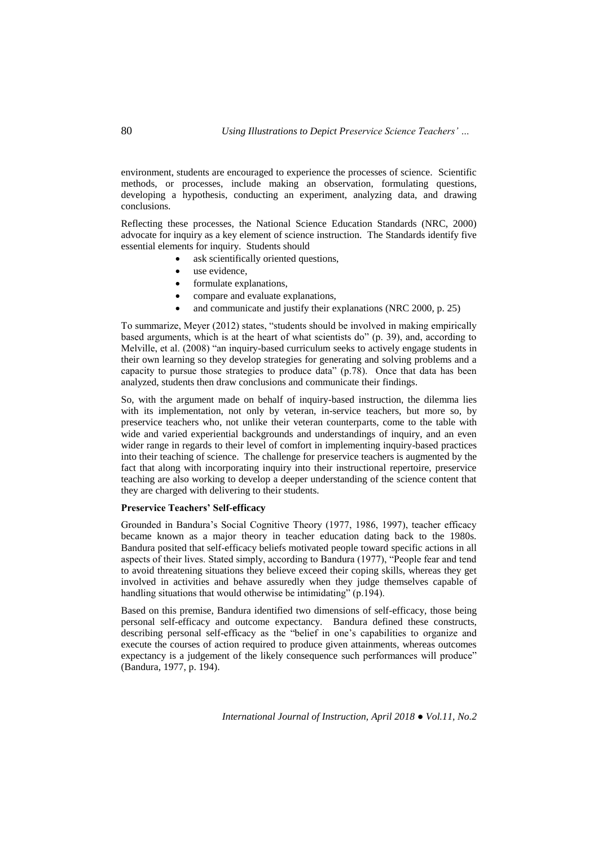environment, students are encouraged to experience the processes of science. Scientific methods, or processes, include making an observation, formulating questions, developing a hypothesis, conducting an experiment, analyzing data, and drawing conclusions.

Reflecting these processes, the National Science Education Standards (NRC, 2000) advocate for inquiry as a key element of science instruction. The Standards identify five essential elements for inquiry. Students should

- ask scientifically oriented questions,
- use evidence,
- formulate explanations,
- compare and evaluate explanations,
- and communicate and justify their explanations (NRC 2000, p. 25)

To summarize, Meyer (2012) states, "students should be involved in making empirically based arguments, which is at the heart of what scientists do" (p. 39), and, according to Melville, et al. (2008) "an inquiry-based curriculum seeks to actively engage students in their own learning so they develop strategies for generating and solving problems and a capacity to pursue those strategies to produce data" (p.78). Once that data has been analyzed, students then draw conclusions and communicate their findings.

So, with the argument made on behalf of inquiry-based instruction, the dilemma lies with its implementation, not only by veteran, in-service teachers, but more so, by preservice teachers who, not unlike their veteran counterparts, come to the table with wide and varied experiential backgrounds and understandings of inquiry, and an even wider range in regards to their level of comfort in implementing inquiry-based practices into their teaching of science. The challenge for preservice teachers is augmented by the fact that along with incorporating inquiry into their instructional repertoire, preservice teaching are also working to develop a deeper understanding of the science content that they are charged with delivering to their students.

## **Preservice Teachers' Self-efficacy**

Grounded in Bandura's Social Cognitive Theory (1977, 1986, 1997), teacher efficacy became known as a major theory in teacher education dating back to the 1980s. Bandura posited that self-efficacy beliefs motivated people toward specific actions in all aspects of their lives. Stated simply, according to Bandura (1977), "People fear and tend to avoid threatening situations they believe exceed their coping skills, whereas they get involved in activities and behave assuredly when they judge themselves capable of handling situations that would otherwise be intimidating" (p.194).

Based on this premise, Bandura identified two dimensions of self-efficacy, those being personal self-efficacy and outcome expectancy. Bandura defined these constructs, describing personal self-efficacy as the "belief in one's capabilities to organize and execute the courses of action required to produce given attainments, whereas outcomes expectancy is a judgement of the likely consequence such performances will produce" (Bandura, 1977, p. 194).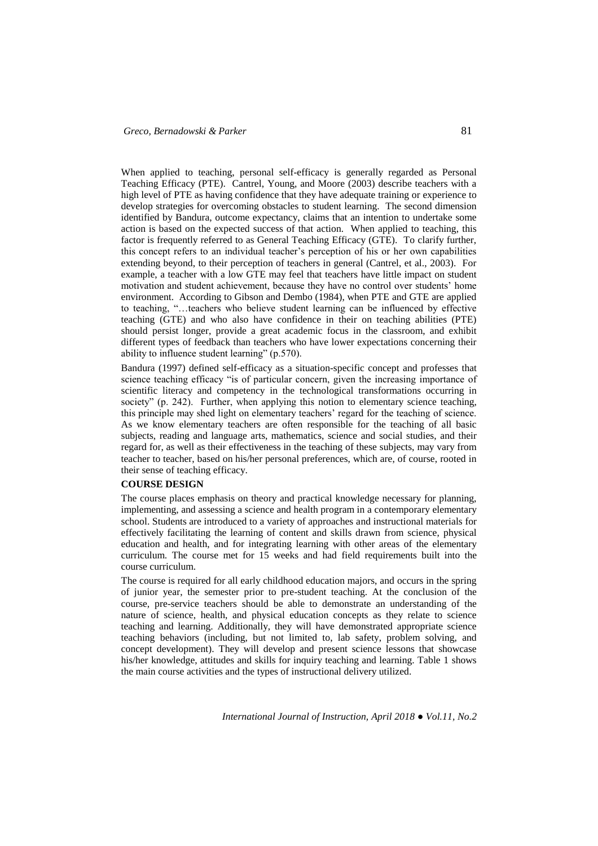When applied to teaching, personal self-efficacy is generally regarded as Personal Teaching Efficacy (PTE). Cantrel, Young, and Moore (2003) describe teachers with a high level of PTE as having confidence that they have adequate training or experience to develop strategies for overcoming obstacles to student learning. The second dimension identified by Bandura, outcome expectancy, claims that an intention to undertake some action is based on the expected success of that action. When applied to teaching, this factor is frequently referred to as General Teaching Efficacy (GTE). To clarify further, this concept refers to an individual teacher's perception of his or her own capabilities extending beyond, to their perception of teachers in general (Cantrel, et al., 2003). For example, a teacher with a low GTE may feel that teachers have little impact on student motivation and student achievement, because they have no control over students' home environment. According to Gibson and Dembo (1984), when PTE and GTE are applied to teaching, "…teachers who believe student learning can be influenced by effective teaching (GTE) and who also have confidence in their on teaching abilities (PTE) should persist longer, provide a great academic focus in the classroom, and exhibit different types of feedback than teachers who have lower expectations concerning their ability to influence student learning" (p.570).

Bandura (1997) defined self-efficacy as a situation-specific concept and professes that science teaching efficacy "is of particular concern, given the increasing importance of scientific literacy and competency in the technological transformations occurring in society" (p. 242). Further, when applying this notion to elementary science teaching, this principle may shed light on elementary teachers' regard for the teaching of science. As we know elementary teachers are often responsible for the teaching of all basic subjects, reading and language arts, mathematics, science and social studies, and their regard for, as well as their effectiveness in the teaching of these subjects, may vary from teacher to teacher, based on his/her personal preferences, which are, of course, rooted in their sense of teaching efficacy.

## **COURSE DESIGN**

The course places emphasis on theory and practical knowledge necessary for planning, implementing, and assessing a science and health program in a contemporary elementary school. Students are introduced to a variety of approaches and instructional materials for effectively facilitating the learning of content and skills drawn from science, physical education and health, and for integrating learning with other areas of the elementary curriculum. The course met for 15 weeks and had field requirements built into the course curriculum.

The course is required for all early childhood education majors, and occurs in the spring of junior year, the semester prior to pre-student teaching. At the conclusion of the course, pre-service teachers should be able to demonstrate an understanding of the nature of science, health, and physical education concepts as they relate to science teaching and learning. Additionally, they will have demonstrated appropriate science teaching behaviors (including, but not limited to, lab safety, problem solving, and concept development). They will develop and present science lessons that showcase his/her knowledge, attitudes and skills for inquiry teaching and learning. Table 1 shows the main course activities and the types of instructional delivery utilized.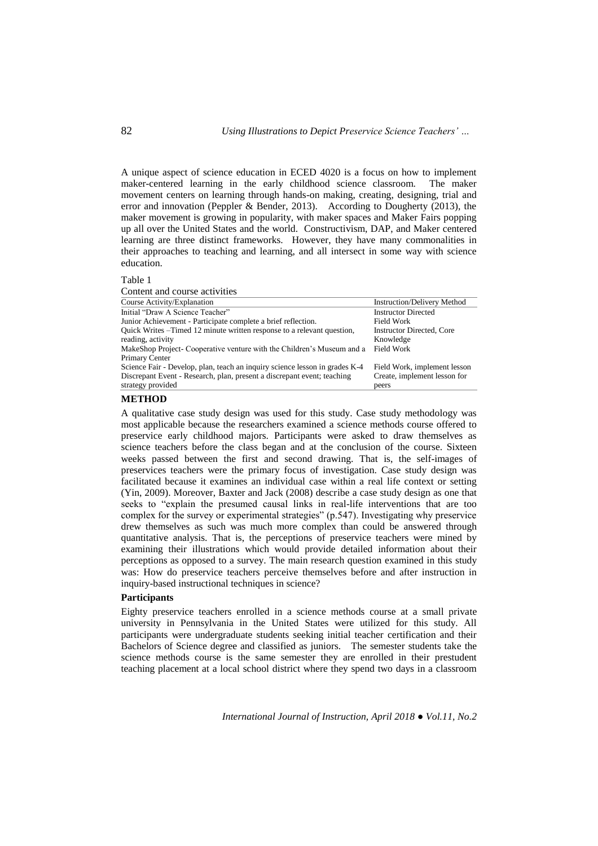A unique aspect of science education in ECED 4020 is a focus on how to implement maker-centered learning in the early childhood science classroom. The maker movement centers on learning through hands-on making, creating, designing, trial and error and innovation (Peppler & Bender, 2013). According to Dougherty (2013), the maker movement is growing in popularity, with maker spaces and Maker Fairs popping up all over the United States and the world. Constructivism, DAP, and Maker centered learning are three distinct frameworks. However, they have many commonalities in their approaches to teaching and learning, and all intersect in some way with science education.

#### Table 1

| Content and course activities                                               |                                    |
|-----------------------------------------------------------------------------|------------------------------------|
| Course Activity/Explanation                                                 | <b>Instruction/Delivery Method</b> |
| Initial "Draw A Science Teacher"                                            | <b>Instructor Directed</b>         |
| Junior Achievement - Participate complete a brief reflection.               | Field Work                         |
| Quick Writes – Timed 12 minute written response to a relevant question,     | <b>Instructor Directed, Core</b>   |
| reading, activity                                                           | Knowledge                          |
| MakeShop Project-Cooperative venture with the Children's Museum and a       | <b>Field Work</b>                  |
| Primary Center                                                              |                                    |
| Science Fair - Develop, plan, teach an inquiry science lesson in grades K-4 | Field Work, implement lesson       |
| Discrepant Event - Research, plan, present a discrepant event; teaching     | Create, implement lesson for       |
| strategy provided                                                           | peers                              |

#### **METHOD**

A qualitative case study design was used for this study. Case study methodology was most applicable because the researchers examined a science methods course offered to preservice early childhood majors. Participants were asked to draw themselves as science teachers before the class began and at the conclusion of the course. Sixteen weeks passed between the first and second drawing. That is, the self-images of preservices teachers were the primary focus of investigation. Case study design was facilitated because it examines an individual case within a real life context or setting (Yin, 2009). Moreover, Baxter and Jack (2008) describe a case study design as one that seeks to "explain the presumed causal links in real-life interventions that are too complex for the survey or experimental strategies" (p.547). Investigating why preservice drew themselves as such was much more complex than could be answered through quantitative analysis. That is, the perceptions of preservice teachers were mined by examining their illustrations which would provide detailed information about their perceptions as opposed to a survey. The main research question examined in this study was: How do preservice teachers perceive themselves before and after instruction in inquiry-based instructional techniques in science?

## **Participants**

Eighty preservice teachers enrolled in a science methods course at a small private university in Pennsylvania in the United States were utilized for this study. All participants were undergraduate students seeking initial teacher certification and their Bachelors of Science degree and classified as juniors. The semester students take the science methods course is the same semester they are enrolled in their prestudent teaching placement at a local school district where they spend two days in a classroom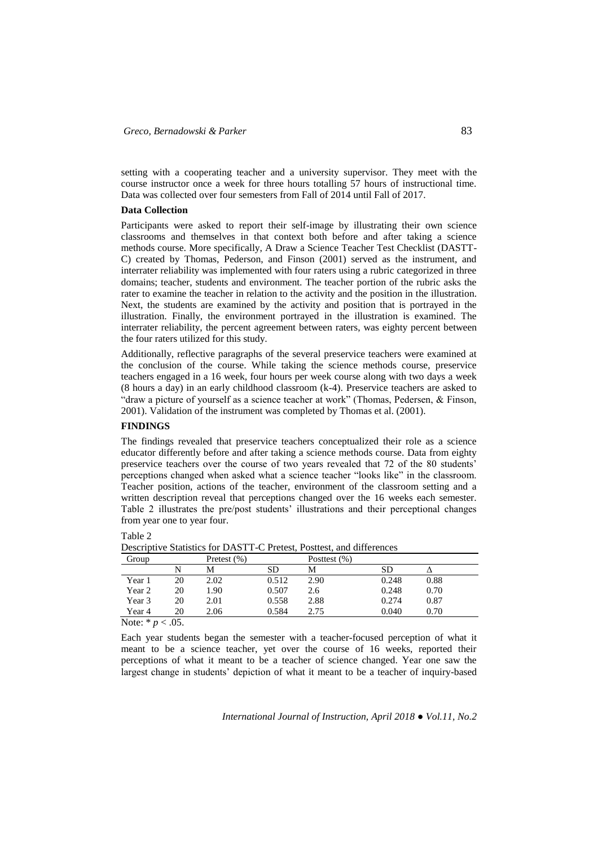setting with a cooperating teacher and a university supervisor. They meet with the course instructor once a week for three hours totalling 57 hours of instructional time. Data was collected over four semesters from Fall of 2014 until Fall of 2017.

#### **Data Collection**

Participants were asked to report their self-image by illustrating their own science classrooms and themselves in that context both before and after taking a science methods course. More specifically, A Draw a Science Teacher Test Checklist (DASTT-C) created by Thomas, Pederson, and Finson (2001) served as the instrument, and interrater reliability was implemented with four raters using a rubric categorized in three domains; teacher, students and environment. The teacher portion of the rubric asks the rater to examine the teacher in relation to the activity and the position in the illustration. Next, the students are examined by the activity and position that is portrayed in the illustration. Finally, the environment portrayed in the illustration is examined. The interrater reliability, the percent agreement between raters, was eighty percent between the four raters utilized for this study.

Additionally, reflective paragraphs of the several preservice teachers were examined at the conclusion of the course. While taking the science methods course, preservice teachers engaged in a 16 week, four hours per week course along with two days a week (8 hours a day) in an early childhood classroom (k-4). Preservice teachers are asked to "draw a picture of yourself as a science teacher at work" (Thomas, Pedersen, & Finson, 2001). Validation of the instrument was completed by Thomas et al. (2001).

# **FINDINGS**

The findings revealed that preservice teachers conceptualized their role as a science educator differently before and after taking a science methods course. Data from eighty preservice teachers over the course of two years revealed that 72 of the 80 students' perceptions changed when asked what a science teacher "looks like" in the classroom. Teacher position, actions of the teacher, environment of the classroom setting and a written description reveal that perceptions changed over the 16 weeks each semester. Table 2 illustrates the pre/post students' illustrations and their perceptional changes from year one to year four.

Table 2

Descriptive Statistics for DASTT-C Pretest, Posttest, and differences

| Group  |    | Pretest $(\% )$ |       | Posttest $(\%)$ |       |      |
|--------|----|-----------------|-------|-----------------|-------|------|
|        |    | М               | SD    | Μ               | SD    |      |
| Year 1 | 20 | 2.02            | 0.512 | 2.90            | 0.248 | 0.88 |
| Year 2 | 20 | .90             | 0.507 | 2.6             | 0.248 | 0.70 |
| Year 3 | 20 | 2.01            | 0.558 | 2.88            | 0.274 | 0.87 |
| Year 4 | 20 | 2.06            | 0.584 | 2.75            | 0.040 | 0.70 |

Note:  $* p < .05$ .

Each year students began the semester with a teacher-focused perception of what it meant to be a science teacher, yet over the course of 16 weeks, reported their perceptions of what it meant to be a teacher of science changed. Year one saw the largest change in students' depiction of what it meant to be a teacher of inquiry-based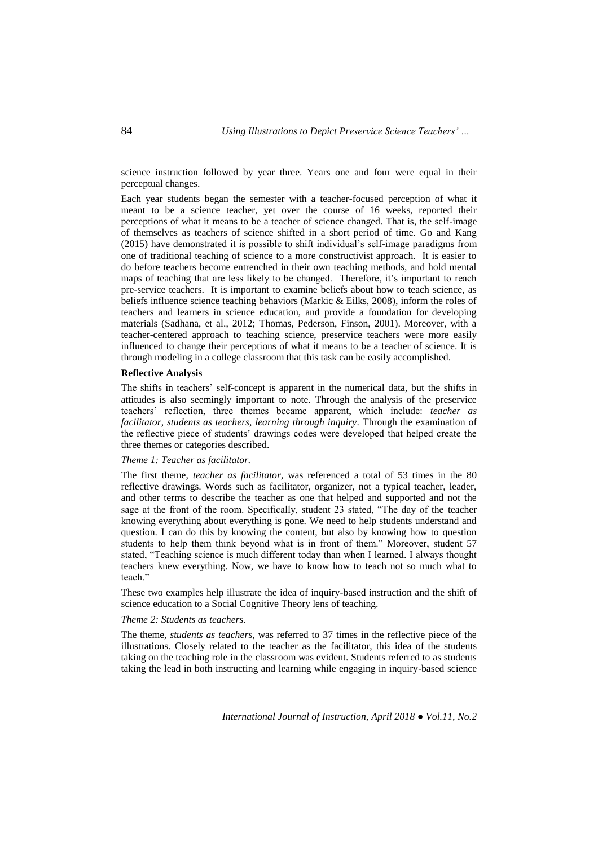science instruction followed by year three. Years one and four were equal in their perceptual changes.

Each year students began the semester with a teacher-focused perception of what it meant to be a science teacher, yet over the course of 16 weeks, reported their perceptions of what it means to be a teacher of science changed. That is, the self-image of themselves as teachers of science shifted in a short period of time. Go and Kang (2015) have demonstrated it is possible to shift individual's self-image paradigms from one of traditional teaching of science to a more constructivist approach. It is easier to do before teachers become entrenched in their own teaching methods, and hold mental maps of teaching that are less likely to be changed. Therefore, it's important to reach pre-service teachers. It is important to examine beliefs about how to teach science, as beliefs influence science teaching behaviors (Markic & Eilks, 2008), inform the roles of teachers and learners in science education, and provide a foundation for developing materials (Sadhana, et al., 2012; Thomas, Pederson, Finson, 2001). Moreover, with a teacher-centered approach to teaching science, preservice teachers were more easily influenced to change their perceptions of what it means to be a teacher of science. It is through modeling in a college classroom that this task can be easily accomplished.

#### **Reflective Analysis**

The shifts in teachers' self-concept is apparent in the numerical data, but the shifts in attitudes is also seemingly important to note. Through the analysis of the preservice teachers' reflection, three themes became apparent, which include: *teacher as facilitator*, *students as teachers*, *learning through inquiry*. Through the examination of the reflective piece of students' drawings codes were developed that helped create the three themes or categories described.

# *Theme 1: Teacher as facilitator.*

The first theme, *teacher as facilitator*, was referenced a total of 53 times in the 80 reflective drawings. Words such as facilitator, organizer, not a typical teacher, leader, and other terms to describe the teacher as one that helped and supported and not the sage at the front of the room. Specifically, student 23 stated, "The day of the teacher knowing everything about everything is gone. We need to help students understand and question. I can do this by knowing the content, but also by knowing how to question students to help them think beyond what is in front of them." Moreover, student 57 stated, "Teaching science is much different today than when I learned. I always thought teachers knew everything. Now, we have to know how to teach not so much what to teach."

These two examples help illustrate the idea of inquiry-based instruction and the shift of science education to a Social Cognitive Theory lens of teaching.

## *Theme 2: Students as teachers.*

The theme, *students as teachers*, was referred to 37 times in the reflective piece of the illustrations. Closely related to the teacher as the facilitator, this idea of the students taking on the teaching role in the classroom was evident. Students referred to as students taking the lead in both instructing and learning while engaging in inquiry-based science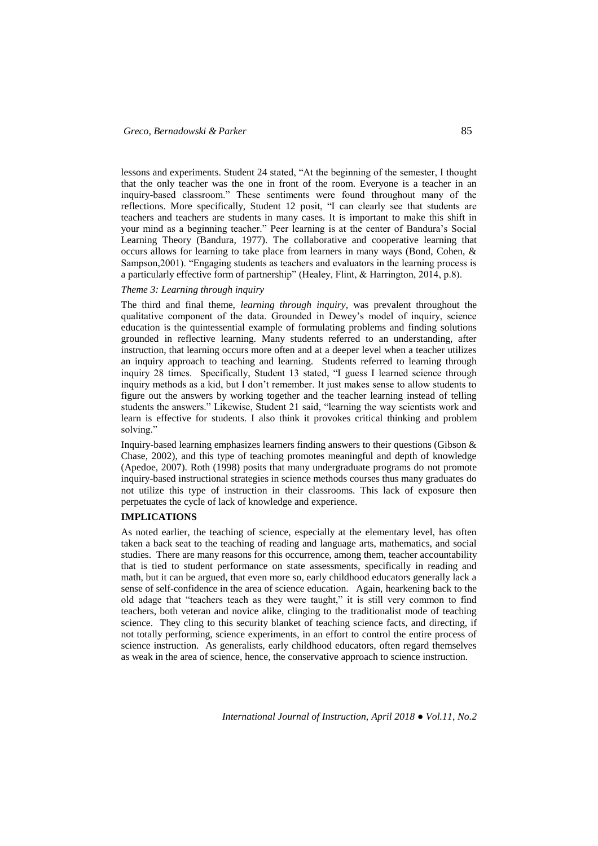lessons and experiments. Student 24 stated, "At the beginning of the semester, I thought that the only teacher was the one in front of the room. Everyone is a teacher in an inquiry-based classroom." These sentiments were found throughout many of the reflections. More specifically, Student 12 posit, "I can clearly see that students are teachers and teachers are students in many cases. It is important to make this shift in your mind as a beginning teacher." Peer learning is at the center of Bandura's Social Learning Theory (Bandura, 1977). The collaborative and cooperative learning that occurs allows for learning to take place from learners in many ways (Bond, Cohen, & Sampson,2001). "Engaging students as teachers and evaluators in the learning process is a particularly effective form of partnership" (Healey, Flint, & Harrington, 2014, p.8).

## *Theme 3: Learning through inquiry*

The third and final theme, *learning through inquiry*, was prevalent throughout the qualitative component of the data. Grounded in Dewey's model of inquiry, science education is the quintessential example of formulating problems and finding solutions grounded in reflective learning. Many students referred to an understanding, after instruction, that learning occurs more often and at a deeper level when a teacher utilizes an inquiry approach to teaching and learning. Students referred to learning through inquiry 28 times. Specifically, Student 13 stated, "I guess I learned science through inquiry methods as a kid, but I don't remember. It just makes sense to allow students to figure out the answers by working together and the teacher learning instead of telling students the answers." Likewise, Student 21 said, "learning the way scientists work and learn is effective for students. I also think it provokes critical thinking and problem solving."

Inquiry-based learning emphasizes learners finding answers to their questions (Gibson & Chase, 2002), and this type of teaching promotes meaningful and depth of knowledge (Apedoe, 2007). Roth (1998) posits that many undergraduate programs do not promote inquiry-based instructional strategies in science methods courses thus many graduates do not utilize this type of instruction in their classrooms. This lack of exposure then perpetuates the cycle of lack of knowledge and experience.

#### **IMPLICATIONS**

As noted earlier, the teaching of science, especially at the elementary level, has often taken a back seat to the teaching of reading and language arts, mathematics, and social studies. There are many reasons for this occurrence, among them, teacher accountability that is tied to student performance on state assessments, specifically in reading and math, but it can be argued, that even more so, early childhood educators generally lack a sense of self-confidence in the area of science education. Again, hearkening back to the old adage that "teachers teach as they were taught," it is still very common to find teachers, both veteran and novice alike, clinging to the traditionalist mode of teaching science. They cling to this security blanket of teaching science facts, and directing, if not totally performing, science experiments, in an effort to control the entire process of science instruction. As generalists, early childhood educators, often regard themselves as weak in the area of science, hence, the conservative approach to science instruction.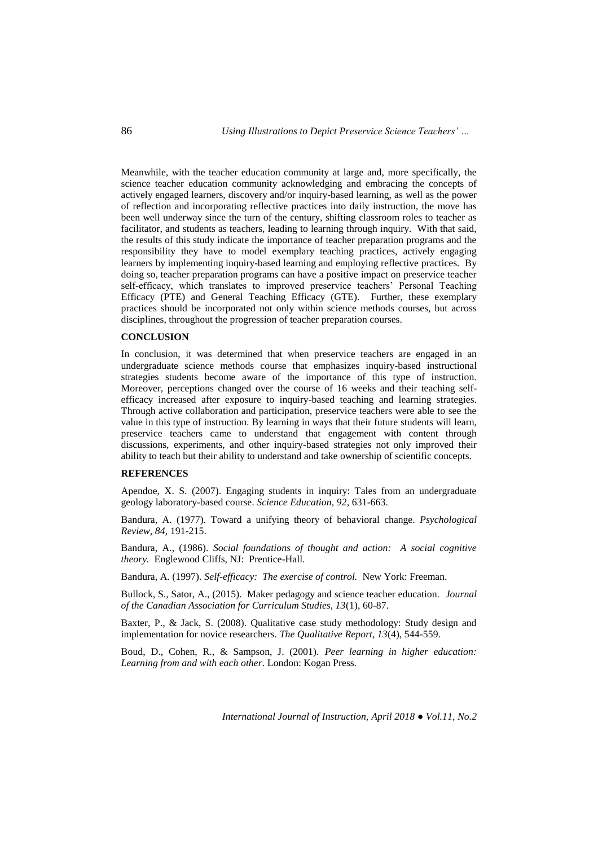Meanwhile, with the teacher education community at large and, more specifically, the science teacher education community acknowledging and embracing the concepts of actively engaged learners, discovery and/or inquiry-based learning, as well as the power of reflection and incorporating reflective practices into daily instruction, the move has been well underway since the turn of the century, shifting classroom roles to teacher as facilitator, and students as teachers, leading to learning through inquiry. With that said, the results of this study indicate the importance of teacher preparation programs and the responsibility they have to model exemplary teaching practices, actively engaging learners by implementing inquiry-based learning and employing reflective practices. By doing so, teacher preparation programs can have a positive impact on preservice teacher self-efficacy, which translates to improved preservice teachers' Personal Teaching Efficacy (PTE) and General Teaching Efficacy (GTE). Further, these exemplary practices should be incorporated not only within science methods courses, but across disciplines, throughout the progression of teacher preparation courses.

## **CONCLUSION**

In conclusion, it was determined that when preservice teachers are engaged in an undergraduate science methods course that emphasizes inquiry-based instructional strategies students become aware of the importance of this type of instruction. Moreover, perceptions changed over the course of 16 weeks and their teaching selfefficacy increased after exposure to inquiry-based teaching and learning strategies. Through active collaboration and participation, preservice teachers were able to see the value in this type of instruction. By learning in ways that their future students will learn, preservice teachers came to understand that engagement with content through discussions, experiments, and other inquiry-based strategies not only improved their ability to teach but their ability to understand and take ownership of scientific concepts.

### **REFERENCES**

Apendoe, X. S. (2007). Engaging students in inquiry: Tales from an undergraduate geology laboratory-based course. *Science Education, 92*, 631-663.

Bandura, A. (1977). Toward a unifying theory of behavioral change. *Psychological Review, 84*, 191-215.

Bandura, A., (1986). *Social foundations of thought and action: A social cognitive theory.* Englewood Cliffs, NJ: Prentice-Hall.

Bandura, A. (1997). *Self-efficacy: The exercise of control.* New York: Freeman.

Bullock, S., Sator, A., (2015). Maker pedagogy and science teacher education. *Journal of the Canadian Association for Curriculum Studies, 13*(1), 60-87.

Baxter, P., & Jack, S. (2008). Qualitative case study methodology: Study design and implementation for novice researchers. *The Qualitative Report, 13*(4), 544-559.

Boud, D., Cohen, R., & Sampson, J. (2001). *Peer learning in higher education: Learning from and with each other*. London: Kogan Press.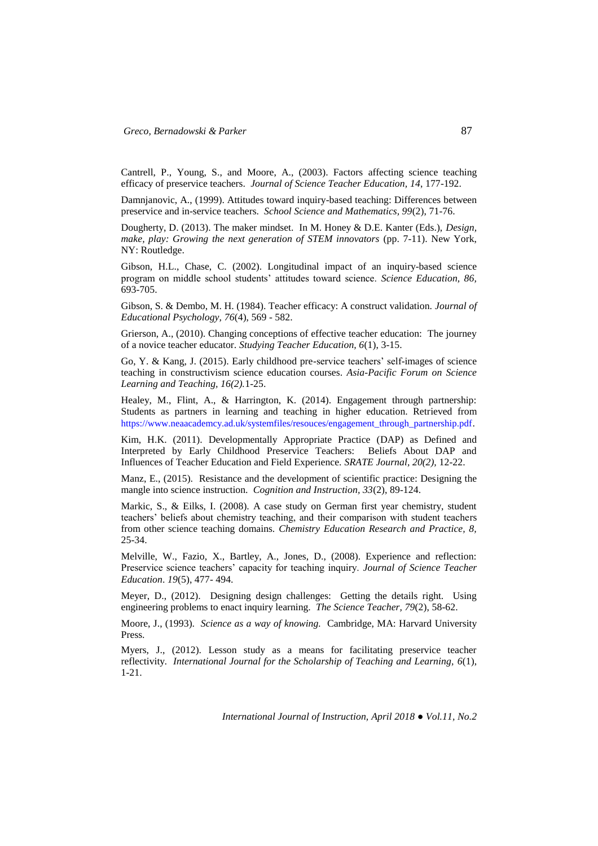Cantrell, P., Young, S., and Moore, A., (2003). Factors affecting science teaching efficacy of preservice teachers. *Journal of Science Teacher Education, 14*, 177-192.

Damnjanovic, A., (1999). Attitudes toward inquiry-based teaching: Differences between preservice and in-service teachers. *School Science and Mathematics, 99*(2), 71-76.

Dougherty, D. (2013). The maker mindset. In M. Honey & D.E. Kanter (Eds.), *Design, make, play: Growing the next generation of STEM innovators* (pp. 7-11). New York, NY: Routledge.

Gibson, H.L., Chase, C. (2002). Longitudinal impact of an inquiry-based science program on middle school students' attitudes toward science. *Science Education, 86,* 693-705.

Gibson, S. & Dembo, M. H. (1984). Teacher efficacy: A construct validation. *Journal of Educational Psychology, 76*(4), 569 - 582.

Grierson, A., (2010). Changing conceptions of effective teacher education: The journey of a novice teacher educator. *Studying Teacher Education, 6*(1), 3-15.

Go, Y. & Kang, J. (2015). Early childhood pre-service teachers' self-images of science teaching in constructivism science education courses. *Asia-Pacific Forum on Science Learning and Teaching, 16(2).*1-25.

Healey, M., Flint, A., & Harrington, K. (2014). Engagement through partnership: Students as partners in learning and teaching in higher education. Retrieved from [https://www.neaacademcy.ad.uk/systemfiles/resouces/engagement\\_through\\_partnership.pdf](https://www.neaacademcy.ad.uk/systemfiles/resouces/engagement_through_partnership.pdf).

Kim, H.K. (2011). Developmentally Appropriate Practice (DAP) as Defined and Interpreted by Early Childhood Preservice Teachers: Beliefs About DAP and Influences of Teacher Education and Field Experience. *SRATE Journal, 20(2),* 12-22.

Manz, E., (2015). Resistance and the development of scientific practice: Designing the mangle into science instruction. *Cognition and Instruction, 33*(2), 89-124.

Markic, S., & Eilks, I. (2008). A case study on German first year chemistry, student teachers' beliefs about chemistry teaching, and their comparison with student teachers from other science teaching domains. *Chemistry Education Research and Practice, 8,* 25-34.

Melville, W., Fazio, X., Bartley, A., Jones, D., (2008). Experience and reflection: Preservice science teachers' capacity for teaching inquiry. *Journal of Science Teacher Education*. *19*(5), 477- 494.

Meyer, D., (2012). Designing design challenges: Getting the details right. Using engineering problems to enact inquiry learning. *The Science Teacher, 79*(2), 58-62.

Moore, J., (1993). *Science as a way of knowing.* Cambridge, MA: Harvard University Press.

Myers, J., (2012). Lesson study as a means for facilitating preservice teacher reflectivity*. International Journal for the Scholarship of Teaching and Learning, 6*(1), 1-21.